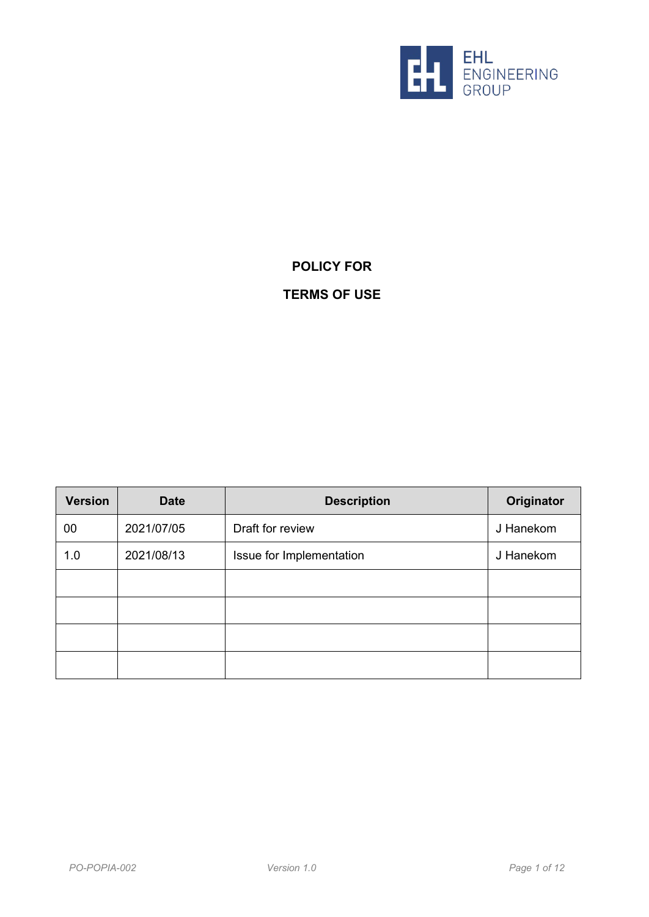

# **POLICY FOR**

# **TERMS OF USE**

| <b>Version</b> | <b>Date</b> | <b>Description</b>       | Originator |
|----------------|-------------|--------------------------|------------|
| 00             | 2021/07/05  | Draft for review         | J Hanekom  |
| 1.0            | 2021/08/13  | Issue for Implementation | J Hanekom  |
|                |             |                          |            |
|                |             |                          |            |
|                |             |                          |            |
|                |             |                          |            |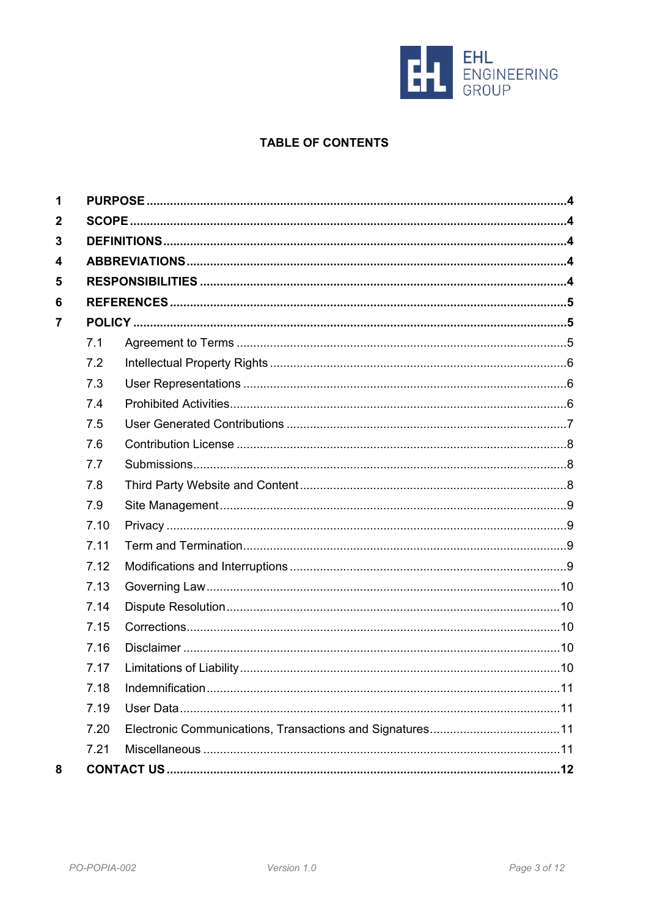

## **TABLE OF CONTENTS**

| 1                |      |  |  |  |  |
|------------------|------|--|--|--|--|
| $\boldsymbol{2}$ |      |  |  |  |  |
| 3                |      |  |  |  |  |
| 4                |      |  |  |  |  |
| 5                |      |  |  |  |  |
| 6                |      |  |  |  |  |
| 7                |      |  |  |  |  |
|                  | 7.1  |  |  |  |  |
|                  | 7.2  |  |  |  |  |
|                  | 7.3  |  |  |  |  |
|                  | 7.4  |  |  |  |  |
|                  | 7.5  |  |  |  |  |
|                  | 7.6  |  |  |  |  |
|                  | 7.7  |  |  |  |  |
|                  | 7.8  |  |  |  |  |
|                  | 7.9  |  |  |  |  |
|                  | 7.10 |  |  |  |  |
|                  | 7.11 |  |  |  |  |
|                  | 7.12 |  |  |  |  |
|                  | 7.13 |  |  |  |  |
|                  | 7.14 |  |  |  |  |
|                  | 7.15 |  |  |  |  |
|                  | 7.16 |  |  |  |  |
|                  | 7.17 |  |  |  |  |
|                  | 7.18 |  |  |  |  |
|                  | 7.19 |  |  |  |  |
|                  | 7.20 |  |  |  |  |
|                  | 7.21 |  |  |  |  |
| 8                |      |  |  |  |  |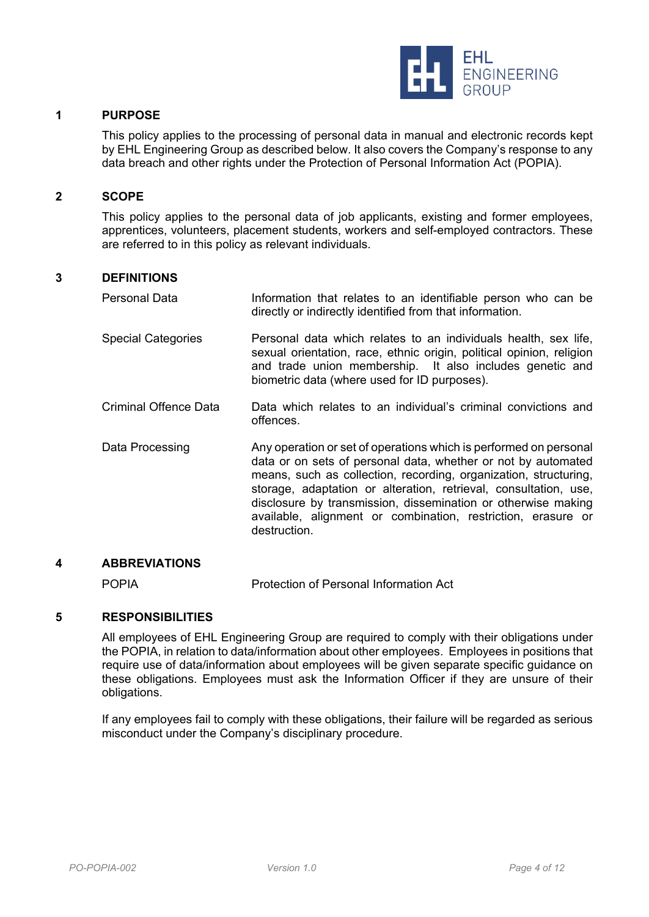

### <span id="page-2-0"></span>**1 PURPOSE**

This policy applies to the processing of personal data in manual and electronic records kept by EHL Engineering Group as described below. It also covers the Company's response to any data breach and other rights under the Protection of Personal Information Act (POPIA).

#### <span id="page-2-1"></span>**2 SCOPE**

This policy applies to the personal data of job applicants, existing and former employees, apprentices, volunteers, placement students, workers and self-employed contractors. These are referred to in this policy as relevant individuals.

#### <span id="page-2-2"></span>**3 DEFINITIONS**

- Personal Data **Information** that relates to an identifiable person who can be directly or indirectly identified from that information.
- Special Categories Personal data which relates to an individuals health, sex life, sexual orientation, race, ethnic origin, political opinion, religion and trade union membership. It also includes genetic and biometric data (where used for ID purposes).
- Criminal Offence Data Data which relates to an individual's criminal convictions and offences.
- Data Processing Any operation or set of operations which is performed on personal data or on sets of personal data, whether or not by automated means, such as collection, recording, organization, structuring, storage, adaptation or alteration, retrieval, consultation, use, disclosure by transmission, dissemination or otherwise making available, alignment or combination, restriction, erasure or destruction.

#### <span id="page-2-3"></span>**4 ABBREVIATIONS**

POPIA Protection of Personal Information Act

## <span id="page-2-4"></span>**5 RESPONSIBILITIES**

All employees of EHL Engineering Group are required to comply with their obligations under the POPIA, in relation to data/information about other employees. Employees in positions that require use of data/information about employees will be given separate specific guidance on these obligations. Employees must ask the Information Officer if they are unsure of their obligations.

If any employees fail to comply with these obligations, their failure will be regarded as serious misconduct under the Company's disciplinary procedure.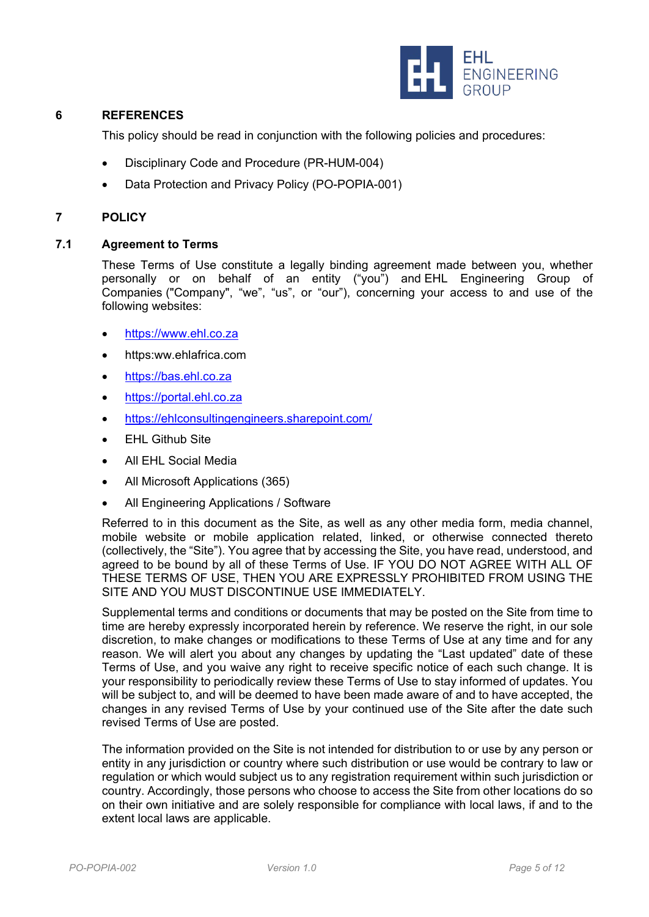

## <span id="page-3-0"></span>**6 REFERENCES**

This policy should be read in conjunction with the following policies and procedures:

- Disciplinary Code and Procedure (PR-HUM-004)
- Data Protection and Privacy Policy (PO-POPIA-001)

### <span id="page-3-1"></span>**7 POLICY**

## <span id="page-3-2"></span>**7.1 Agreement to Terms**

These Terms of Use constitute a legally binding agreement made between you, whether personally or on behalf of an entity ("you") and EHL Engineering Group of Companies ("Company", "we", "us", or "our"), concerning your access to and use of the following websites:

- [https://www.ehl.co.za](https://www.ehl.co.za/)
- https:ww.ehlafrica.com
- [https://bas.ehl.co.za](https://bas.ehl.co.za/)
- [https://portal.ehl.co.za](https://portal.ehl.co.za/)
- <https://ehlconsultingengineers.sharepoint.com/>
- EHL Github Site
- All EHL Social Media
- All Microsoft Applications (365)
- All Engineering Applications / Software

Referred to in this document as the Site, as well as any other media form, media channel, mobile website or mobile application related, linked, or otherwise connected thereto (collectively, the "Site"). You agree that by accessing the Site, you have read, understood, and agreed to be bound by all of these Terms of Use. IF YOU DO NOT AGREE WITH ALL OF THESE TERMS OF USE, THEN YOU ARE EXPRESSLY PROHIBITED FROM USING THE SITE AND YOU MUST DISCONTINUE USE IMMEDIATELY.

Supplemental terms and conditions or documents that may be posted on the Site from time to time are hereby expressly incorporated herein by reference. We reserve the right, in our sole discretion, to make changes or modifications to these Terms of Use at any time and for any reason. We will alert you about any changes by updating the "Last updated" date of these Terms of Use, and you waive any right to receive specific notice of each such change. It is your responsibility to periodically review these Terms of Use to stay informed of updates. You will be subject to, and will be deemed to have been made aware of and to have accepted, the changes in any revised Terms of Use by your continued use of the Site after the date such revised Terms of Use are posted.

The information provided on the Site is not intended for distribution to or use by any person or entity in any jurisdiction or country where such distribution or use would be contrary to law or regulation or which would subject us to any registration requirement within such jurisdiction or country. Accordingly, those persons who choose to access the Site from other locations do so on their own initiative and are solely responsible for compliance with local laws, if and to the extent local laws are applicable.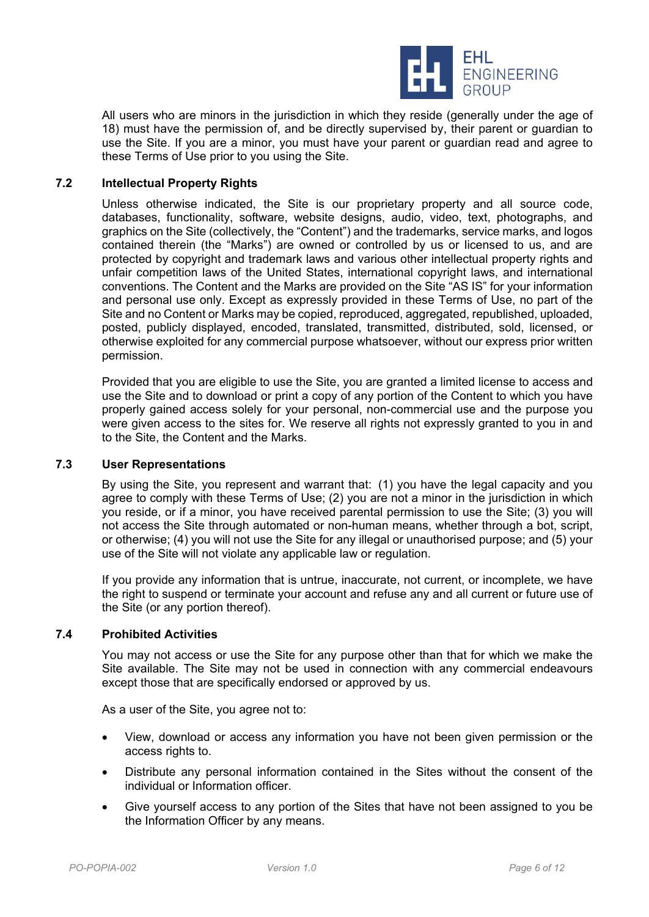

All users who are minors in the jurisdiction in which they reside (generally under the age of 18) must have the permission of, and be directly supervised by, their parent or guardian to use the Site. If you are a minor, you must have your parent or guardian read and agree to these Terms of Use prior to you using the Site.

### <span id="page-4-0"></span>**7.2 Intellectual Property Rights**

Unless otherwise indicated, the Site is our proprietary property and all source code, databases, functionality, software, website designs, audio, video, text, photographs, and graphics on the Site (collectively, the "Content") and the trademarks, service marks, and logos contained therein (the "Marks") are owned or controlled by us or licensed to us, and are protected by copyright and trademark laws and various other intellectual property rights and unfair competition laws of the United States, international copyright laws, and international conventions. The Content and the Marks are provided on the Site "AS IS" for your information and personal use only. Except as expressly provided in these Terms of Use, no part of the Site and no Content or Marks may be copied, reproduced, aggregated, republished, uploaded, posted, publicly displayed, encoded, translated, transmitted, distributed, sold, licensed, or otherwise exploited for any commercial purpose whatsoever, without our express prior written permission.

Provided that you are eligible to use the Site, you are granted a limited license to access and use the Site and to download or print a copy of any portion of the Content to which you have properly gained access solely for your personal, non-commercial use and the purpose you were given access to the sites for. We reserve all rights not expressly granted to you in and to the Site, the Content and the Marks.

## <span id="page-4-1"></span>**7.3 User Representations**

By using the Site, you represent and warrant that: (1) you have the legal capacity and you agree to comply with these Terms of Use; (2) you are not a minor in the jurisdiction in which you reside, or if a minor, you have received parental permission to use the Site; (3) you will not access the Site through automated or non-human means, whether through a bot, script, or otherwise; (4) you will not use the Site for any illegal or unauthorised purpose; and (5) your use of the Site will not violate any applicable law or regulation.

If you provide any information that is untrue, inaccurate, not current, or incomplete, we have the right to suspend or terminate your account and refuse any and all current or future use of the Site (or any portion thereof).

#### <span id="page-4-2"></span>**7.4 Prohibited Activities**

You may not access or use the Site for any purpose other than that for which we make the Site available. The Site may not be used in connection with any commercial endeavours except those that are specifically endorsed or approved by us.

As a user of the Site, you agree not to:

- View, download or access any information you have not been given permission or the access rights to.
- Distribute any personal information contained in the Sites without the consent of the individual or Information officer.
- Give yourself access to any portion of the Sites that have not been assigned to you be the Information Officer by any means.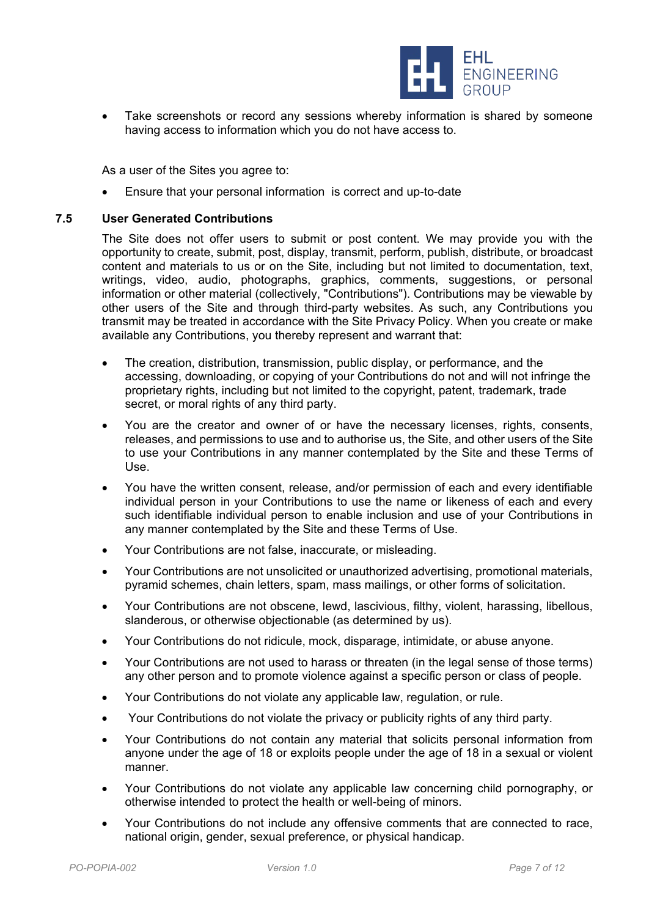

Take screenshots or record any sessions whereby information is shared by someone having access to information which you do not have access to.

As a user of the Sites you agree to:

• Ensure that your personal information is correct and up-to-date

#### <span id="page-5-0"></span>**7.5 User Generated Contributions**

The Site does not offer users to submit or post content. We may provide you with the opportunity to create, submit, post, display, transmit, perform, publish, distribute, or broadcast content and materials to us or on the Site, including but not limited to documentation, text, writings, video, audio, photographs, graphics, comments, suggestions, or personal information or other material (collectively, "Contributions"). Contributions may be viewable by other users of the Site and through third-party websites. As such, any Contributions you transmit may be treated in accordance with the Site Privacy Policy. When you create or make available any Contributions, you thereby represent and warrant that:

- The creation, distribution, transmission, public display, or performance, and the accessing, downloading, or copying of your Contributions do not and will not infringe the proprietary rights, including but not limited to the copyright, patent, trademark, trade secret, or moral rights of any third party.
- You are the creator and owner of or have the necessary licenses, rights, consents, releases, and permissions to use and to authorise us, the Site, and other users of the Site to use your Contributions in any manner contemplated by the Site and these Terms of Use.
- You have the written consent, release, and/or permission of each and every identifiable individual person in your Contributions to use the name or likeness of each and every such identifiable individual person to enable inclusion and use of your Contributions in any manner contemplated by the Site and these Terms of Use.
- Your Contributions are not false, inaccurate, or misleading.
- Your Contributions are not unsolicited or unauthorized advertising, promotional materials, pyramid schemes, chain letters, spam, mass mailings, or other forms of solicitation.
- Your Contributions are not obscene, lewd, lascivious, filthy, violent, harassing, libellous, slanderous, or otherwise objectionable (as determined by us).
- Your Contributions do not ridicule, mock, disparage, intimidate, or abuse anyone.
- Your Contributions are not used to harass or threaten (in the legal sense of those terms) any other person and to promote violence against a specific person or class of people.
- Your Contributions do not violate any applicable law, regulation, or rule.
- Your Contributions do not violate the privacy or publicity rights of any third party.
- Your Contributions do not contain any material that solicits personal information from anyone under the age of 18 or exploits people under the age of 18 in a sexual or violent manner.
- Your Contributions do not violate any applicable law concerning child pornography, or otherwise intended to protect the health or well-being of minors.
- Your Contributions do not include any offensive comments that are connected to race, national origin, gender, sexual preference, or physical handicap.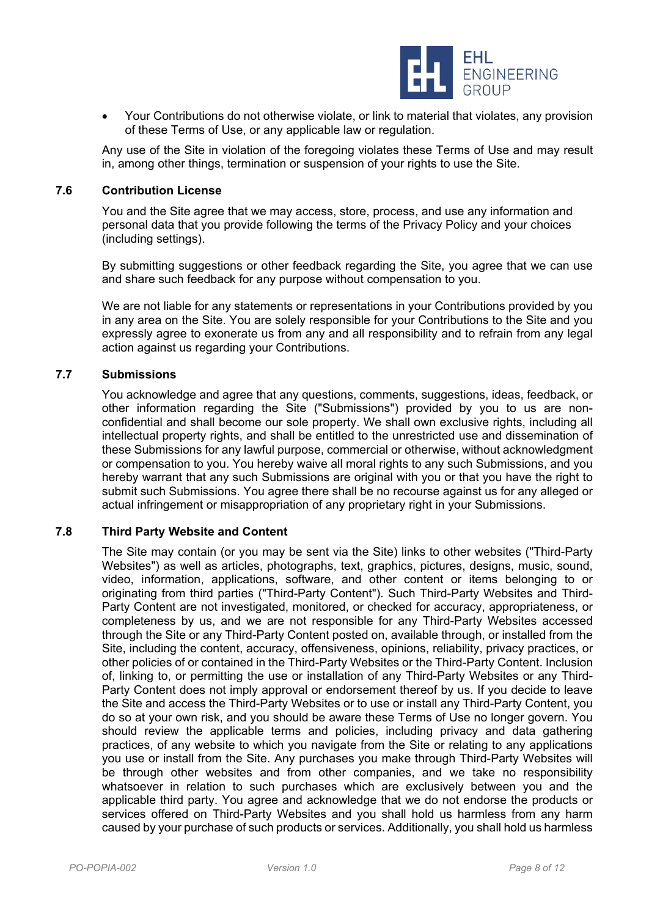

• Your Contributions do not otherwise violate, or link to material that violates, any provision of these Terms of Use, or any applicable law or regulation.

Any use of the Site in violation of the foregoing violates these Terms of Use and may result in, among other things, termination or suspension of your rights to use the Site.

## <span id="page-6-0"></span>**7.6 Contribution License**

You and the Site agree that we may access, store, process, and use any information and personal data that you provide following the terms of the Privacy Policy and your choices (including settings).

By submitting suggestions or other feedback regarding the Site, you agree that we can use and share such feedback for any purpose without compensation to you.

We are not liable for any statements or representations in your Contributions provided by you in any area on the Site. You are solely responsible for your Contributions to the Site and you expressly agree to exonerate us from any and all responsibility and to refrain from any legal action against us regarding your Contributions.

#### <span id="page-6-1"></span>**7.7 Submissions**

You acknowledge and agree that any questions, comments, suggestions, ideas, feedback, or other information regarding the Site ("Submissions") provided by you to us are nonconfidential and shall become our sole property. We shall own exclusive rights, including all intellectual property rights, and shall be entitled to the unrestricted use and dissemination of these Submissions for any lawful purpose, commercial or otherwise, without acknowledgment or compensation to you. You hereby waive all moral rights to any such Submissions, and you hereby warrant that any such Submissions are original with you or that you have the right to submit such Submissions. You agree there shall be no recourse against us for any alleged or actual infringement or misappropriation of any proprietary right in your Submissions.

## <span id="page-6-2"></span>**7.8 Third Party Website and Content**

The Site may contain (or you may be sent via the Site) links to other websites ("Third-Party Websites") as well as articles, photographs, text, graphics, pictures, designs, music, sound, video, information, applications, software, and other content or items belonging to or originating from third parties ("Third-Party Content"). Such Third-Party Websites and Third-Party Content are not investigated, monitored, or checked for accuracy, appropriateness, or completeness by us, and we are not responsible for any Third-Party Websites accessed through the Site or any Third-Party Content posted on, available through, or installed from the Site, including the content, accuracy, offensiveness, opinions, reliability, privacy practices, or other policies of or contained in the Third-Party Websites or the Third-Party Content. Inclusion of, linking to, or permitting the use or installation of any Third-Party Websites or any Third-Party Content does not imply approval or endorsement thereof by us. If you decide to leave the Site and access the Third-Party Websites or to use or install any Third-Party Content, you do so at your own risk, and you should be aware these Terms of Use no longer govern. You should review the applicable terms and policies, including privacy and data gathering practices, of any website to which you navigate from the Site or relating to any applications you use or install from the Site. Any purchases you make through Third-Party Websites will be through other websites and from other companies, and we take no responsibility whatsoever in relation to such purchases which are exclusively between you and the applicable third party. You agree and acknowledge that we do not endorse the products or services offered on Third-Party Websites and you shall hold us harmless from any harm caused by your purchase of such products or services. Additionally, you shall hold us harmless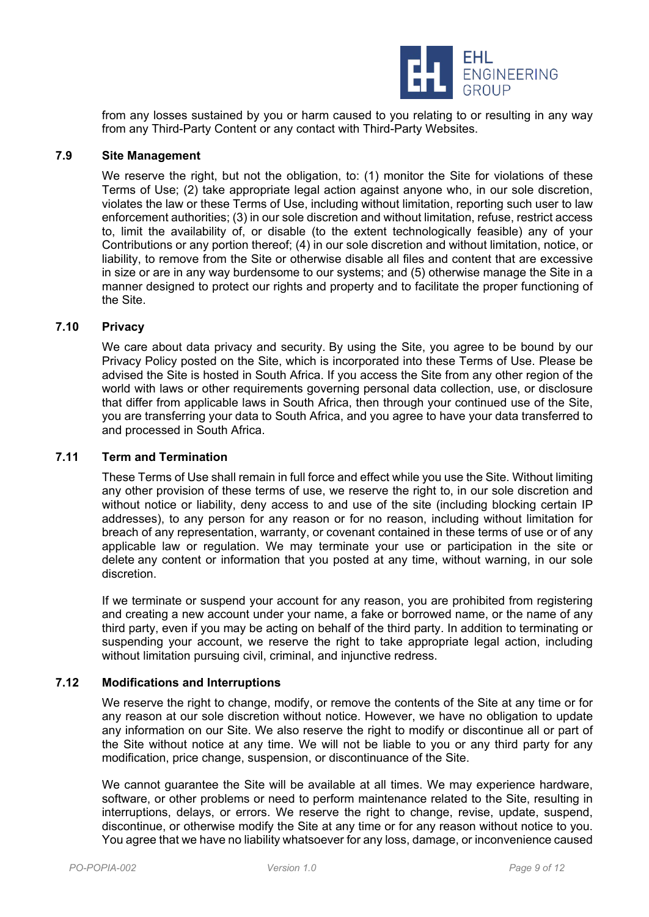

from any losses sustained by you or harm caused to you relating to or resulting in any way from any Third-Party Content or any contact with Third-Party Websites.

#### <span id="page-7-0"></span>**7.9 Site Management**

We reserve the right, but not the obligation, to: (1) monitor the Site for violations of these Terms of Use; (2) take appropriate legal action against anyone who, in our sole discretion, violates the law or these Terms of Use, including without limitation, reporting such user to law enforcement authorities; (3) in our sole discretion and without limitation, refuse, restrict access to, limit the availability of, or disable (to the extent technologically feasible) any of your Contributions or any portion thereof; (4) in our sole discretion and without limitation, notice, or liability, to remove from the Site or otherwise disable all files and content that are excessive in size or are in any way burdensome to our systems; and (5) otherwise manage the Site in a manner designed to protect our rights and property and to facilitate the proper functioning of the Site.

## <span id="page-7-1"></span>**7.10 Privacy**

We care about data privacy and security. By using the Site, you agree to be bound by our Privacy Policy posted on the Site, which is incorporated into these Terms of Use. Please be advised the Site is hosted in South Africa. If you access the Site from any other region of the world with laws or other requirements governing personal data collection, use, or disclosure that differ from applicable laws in South Africa, then through your continued use of the Site, you are transferring your data to South Africa, and you agree to have your data transferred to and processed in South Africa.

#### <span id="page-7-2"></span>**7.11 Term and Termination**

These Terms of Use shall remain in full force and effect while you use the Site. Without limiting any other provision of these terms of use, we reserve the right to, in our sole discretion and without notice or liability, deny access to and use of the site (including blocking certain IP addresses), to any person for any reason or for no reason, including without limitation for breach of any representation, warranty, or covenant contained in these terms of use or of any applicable law or regulation. We may terminate your use or participation in the site or delete any content or information that you posted at any time, without warning, in our sole discretion.

If we terminate or suspend your account for any reason, you are prohibited from registering and creating a new account under your name, a fake or borrowed name, or the name of any third party, even if you may be acting on behalf of the third party. In addition to terminating or suspending your account, we reserve the right to take appropriate legal action, including without limitation pursuing civil, criminal, and injunctive redress.

#### <span id="page-7-3"></span>**7.12 Modifications and Interruptions**

We reserve the right to change, modify, or remove the contents of the Site at any time or for any reason at our sole discretion without notice. However, we have no obligation to update any information on our Site. We also reserve the right to modify or discontinue all or part of the Site without notice at any time. We will not be liable to you or any third party for any modification, price change, suspension, or discontinuance of the Site.

We cannot guarantee the Site will be available at all times. We may experience hardware, software, or other problems or need to perform maintenance related to the Site, resulting in interruptions, delays, or errors. We reserve the right to change, revise, update, suspend, discontinue, or otherwise modify the Site at any time or for any reason without notice to you. You agree that we have no liability whatsoever for any loss, damage, or inconvenience caused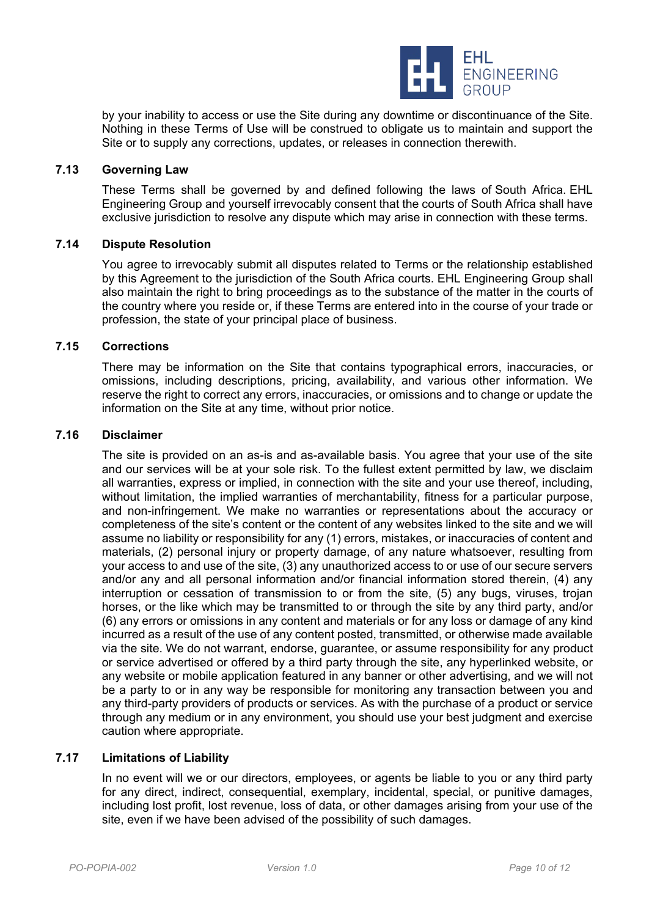

by your inability to access or use the Site during any downtime or discontinuance of the Site. Nothing in these Terms of Use will be construed to obligate us to maintain and support the Site or to supply any corrections, updates, or releases in connection therewith.

## <span id="page-8-0"></span>**7.13 Governing Law**

These Terms shall be governed by and defined following the laws of South Africa. EHL Engineering Group and yourself irrevocably consent that the courts of South Africa shall have exclusive jurisdiction to resolve any dispute which may arise in connection with these terms.

## <span id="page-8-1"></span>**7.14 Dispute Resolution**

You agree to irrevocably submit all disputes related to Terms or the relationship established by this Agreement to the jurisdiction of the South Africa courts. EHL Engineering Group shall also maintain the right to bring proceedings as to the substance of the matter in the courts of the country where you reside or, if these Terms are entered into in the course of your trade or profession, the state of your principal place of business.

## <span id="page-8-2"></span>**7.15 Corrections**

There may be information on the Site that contains typographical errors, inaccuracies, or omissions, including descriptions, pricing, availability, and various other information. We reserve the right to correct any errors, inaccuracies, or omissions and to change or update the information on the Site at any time, without prior notice.

## <span id="page-8-3"></span>**7.16 Disclaimer**

The site is provided on an as-is and as-available basis. You agree that your use of the site and our services will be at your sole risk. To the fullest extent permitted by law, we disclaim all warranties, express or implied, in connection with the site and your use thereof, including, without limitation, the implied warranties of merchantability, fitness for a particular purpose, and non-infringement. We make no warranties or representations about the accuracy or completeness of the site's content or the content of any websites linked to the site and we will assume no liability or responsibility for any (1) errors, mistakes, or inaccuracies of content and materials, (2) personal injury or property damage, of any nature whatsoever, resulting from your access to and use of the site, (3) any unauthorized access to or use of our secure servers and/or any and all personal information and/or financial information stored therein, (4) any interruption or cessation of transmission to or from the site, (5) any bugs, viruses, trojan horses, or the like which may be transmitted to or through the site by any third party, and/or (6) any errors or omissions in any content and materials or for any loss or damage of any kind incurred as a result of the use of any content posted, transmitted, or otherwise made available via the site. We do not warrant, endorse, guarantee, or assume responsibility for any product or service advertised or offered by a third party through the site, any hyperlinked website, or any website or mobile application featured in any banner or other advertising, and we will not be a party to or in any way be responsible for monitoring any transaction between you and any third-party providers of products or services. As with the purchase of a product or service through any medium or in any environment, you should use your best judgment and exercise caution where appropriate.

## <span id="page-8-4"></span>**7.17 Limitations of Liability**

In no event will we or our directors, employees, or agents be liable to you or any third party for any direct, indirect, consequential, exemplary, incidental, special, or punitive damages, including lost profit, lost revenue, loss of data, or other damages arising from your use of the site, even if we have been advised of the possibility of such damages.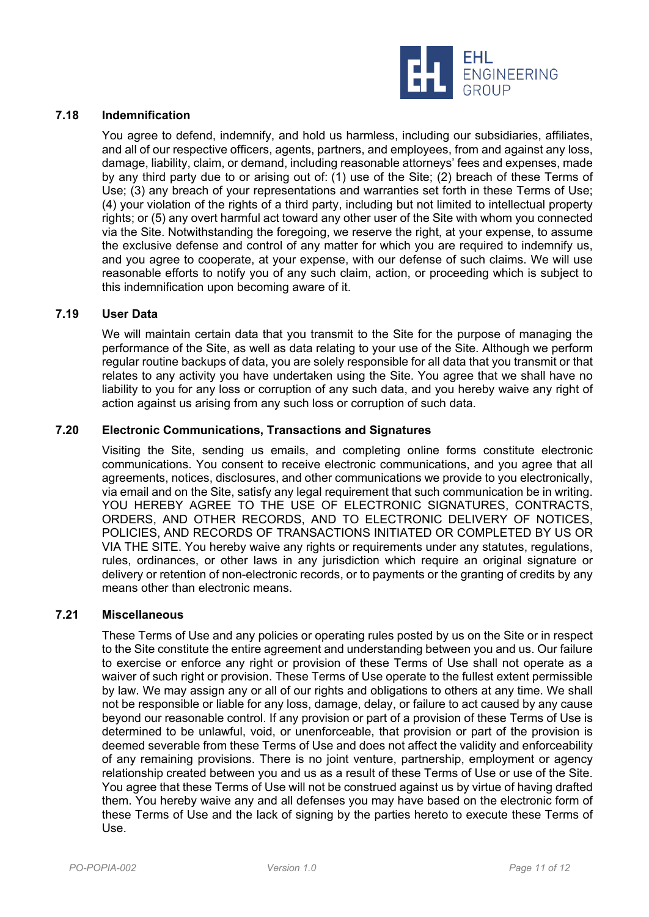

## <span id="page-9-0"></span>**7.18 Indemnification**

You agree to defend, indemnify, and hold us harmless, including our subsidiaries, affiliates, and all of our respective officers, agents, partners, and employees, from and against any loss, damage, liability, claim, or demand, including reasonable attorneys' fees and expenses, made by any third party due to or arising out of: (1) use of the Site; (2) breach of these Terms of Use; (3) any breach of your representations and warranties set forth in these Terms of Use; (4) your violation of the rights of a third party, including but not limited to intellectual property rights; or (5) any overt harmful act toward any other user of the Site with whom you connected via the Site. Notwithstanding the foregoing, we reserve the right, at your expense, to assume the exclusive defense and control of any matter for which you are required to indemnify us, and you agree to cooperate, at your expense, with our defense of such claims. We will use reasonable efforts to notify you of any such claim, action, or proceeding which is subject to this indemnification upon becoming aware of it.

## <span id="page-9-1"></span>**7.19 User Data**

We will maintain certain data that you transmit to the Site for the purpose of managing the performance of the Site, as well as data relating to your use of the Site. Although we perform regular routine backups of data, you are solely responsible for all data that you transmit or that relates to any activity you have undertaken using the Site. You agree that we shall have no liability to you for any loss or corruption of any such data, and you hereby waive any right of action against us arising from any such loss or corruption of such data.

## <span id="page-9-2"></span>**7.20 Electronic Communications, Transactions and Signatures**

Visiting the Site, sending us emails, and completing online forms constitute electronic communications. You consent to receive electronic communications, and you agree that all agreements, notices, disclosures, and other communications we provide to you electronically, via email and on the Site, satisfy any legal requirement that such communication be in writing. YOU HEREBY AGREE TO THE USE OF ELECTRONIC SIGNATURES, CONTRACTS, ORDERS, AND OTHER RECORDS, AND TO ELECTRONIC DELIVERY OF NOTICES, POLICIES, AND RECORDS OF TRANSACTIONS INITIATED OR COMPLETED BY US OR VIA THE SITE. You hereby waive any rights or requirements under any statutes, regulations, rules, ordinances, or other laws in any jurisdiction which require an original signature or delivery or retention of non-electronic records, or to payments or the granting of credits by any means other than electronic means.

#### <span id="page-9-3"></span>**7.21 Miscellaneous**

These Terms of Use and any policies or operating rules posted by us on the Site or in respect to the Site constitute the entire agreement and understanding between you and us. Our failure to exercise or enforce any right or provision of these Terms of Use shall not operate as a waiver of such right or provision. These Terms of Use operate to the fullest extent permissible by law. We may assign any or all of our rights and obligations to others at any time. We shall not be responsible or liable for any loss, damage, delay, or failure to act caused by any cause beyond our reasonable control. If any provision or part of a provision of these Terms of Use is determined to be unlawful, void, or unenforceable, that provision or part of the provision is deemed severable from these Terms of Use and does not affect the validity and enforceability of any remaining provisions. There is no joint venture, partnership, employment or agency relationship created between you and us as a result of these Terms of Use or use of the Site. You agree that these Terms of Use will not be construed against us by virtue of having drafted them. You hereby waive any and all defenses you may have based on the electronic form of these Terms of Use and the lack of signing by the parties hereto to execute these Terms of Use.